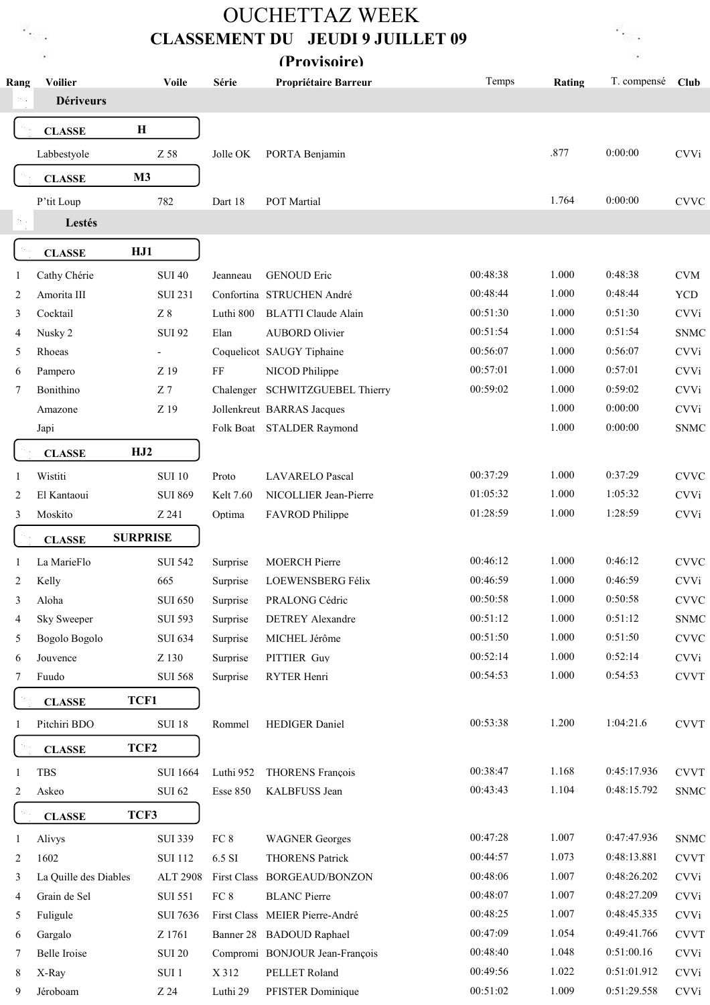## CLASSEMENT DU JEUDI 9 JUILLET 09 OUCHETTAZ WEEK (Provisoire)



| Rang | <b>Voilier</b><br><b>Dériveurs</b> | <b>Voile</b>             | Série            | Propriétaire Barreur           | Temps    | Rating | T. compensé | Club        |
|------|------------------------------------|--------------------------|------------------|--------------------------------|----------|--------|-------------|-------------|
|      |                                    |                          |                  |                                |          |        |             |             |
|      | <b>CLASSE</b>                      | $\mathbf H$              |                  |                                |          |        |             |             |
|      | Labbestyole                        | Z 58                     | Jolle OK         | PORTA Benjamin                 |          | .877   | 0:00:00     | <b>CVVi</b> |
|      | <b>CLASSE</b>                      | M <sub>3</sub>           |                  |                                |          |        |             |             |
|      | P'tit Loup                         | 782                      | Dart 18          | POT Martial                    |          | 1.764  | 0:00:00     | <b>CVVC</b> |
|      | Lestés                             |                          |                  |                                |          |        |             |             |
|      | <b>CLASSE</b>                      | HJ1                      |                  |                                |          |        |             |             |
| 1    | Cathy Chérie                       | <b>SUI 40</b>            | Jeanneau         | <b>GENOUD Eric</b>             | 00:48:38 | 1.000  | 0:48:38     | <b>CVM</b>  |
| 2    | Amorita III                        | <b>SUI 231</b>           |                  | Confortina STRUCHEN André      | 00:48:44 | 1.000  | 0:48:44     | <b>YCD</b>  |
| 3    | Cocktail                           | $\rm Z~8$                | Luthi 800        | <b>BLATTI</b> Claude Alain     | 00:51:30 | 1.000  | 0:51:30     | <b>CVVi</b> |
| 4    | Nusky 2                            | <b>SUI 92</b>            | Elan             | <b>AUBORD Olivier</b>          | 00:51:54 | 1.000  | 0:51:54     | <b>SNMC</b> |
| 5    | Rhoeas                             | $\overline{\phantom{a}}$ |                  | Coquelicot SAUGY Tiphaine      | 00:56:07 | 1.000  | 0:56:07     | <b>CVVi</b> |
| 6    | Pampero                            | Z 19                     | $\rm FF$         | NICOD Philippe                 | 00:57:01 | 1.000  | 0:57:01     | <b>CVVi</b> |
| 7    | Bonithino                          | Z <sub>7</sub>           | Chalenger        | <b>SCHWITZGUEBEL Thierry</b>   | 00:59:02 | 1.000  | 0:59:02     | <b>CVVi</b> |
|      | Amazone                            | Z 19                     |                  | Jollenkreut BARRAS Jacques     |          | 1.000  | 0:00:00     | <b>CVVi</b> |
|      | Japi                               |                          |                  | Folk Boat STALDER Raymond      |          | 1.000  | 0:00:00     | <b>SNMC</b> |
|      | <b>CLASSE</b>                      | HJ2                      |                  |                                |          |        |             |             |
| 1    | Wistiti                            | <b>SUI 10</b>            | Proto            | <b>LAVARELO Pascal</b>         | 00:37:29 | 1.000  | 0:37:29     | <b>CVVC</b> |
| 2    | El Kantaoui                        | <b>SUI 869</b>           | <b>Kelt 7.60</b> | NICOLLIER Jean-Pierre          | 01:05:32 | 1.000  | 1:05:32     | <b>CVVi</b> |
| 3    | Moskito                            | Z 241                    | Optima           | FAVROD Philippe                | 01:28:59 | 1.000  | 1:28:59     | <b>CVVi</b> |
|      | <b>CLASSE</b>                      | <b>SURPRISE</b>          |                  |                                |          |        |             |             |
| 1    | La MarieFlo                        | <b>SUI 542</b>           | Surprise         | <b>MOERCH Pierre</b>           | 00:46:12 | 1.000  | 0:46:12     | <b>CVVC</b> |
| 2    | Kelly                              | 665                      | Surprise         | LOEWENSBERG Félix              | 00:46:59 | 1.000  | 0:46:59     | <b>CVVi</b> |
| 3    | Aloha                              | <b>SUI 650</b>           | Surprise         | PRALONG Cédric                 | 00:50:58 | 1.000  | 0:50:58     | <b>CVVC</b> |
| 4    | <b>Sky Sweeper</b>                 | <b>SUI 593</b>           | Surprise         | <b>DETREY Alexandre</b>        | 00:51:12 | 1.000  | 0:51:12     | <b>SNMC</b> |
| 5    | Bogolo Bogolo                      | <b>SUI 634</b>           | Surprise         | MICHEL Jérôme                  | 00:51:50 | 1.000  | 0:51:50     | <b>CVVC</b> |
| 6    | Jouvence                           | Z 130                    | Surprise         | PITTIER Guy                    | 00:52:14 | 1.000  | 0:52:14     | <b>CVVi</b> |
| 7    | Fuudo                              | <b>SUI 568</b>           | Surprise         | RYTER Henri                    | 00:54:53 | 1.000  | 0:54:53     | <b>CVVT</b> |
|      | <b>CLASSE</b>                      | TCF1                     |                  |                                |          |        |             |             |
|      | Pitchiri BDO                       | <b>SUI 18</b>            | Rommel           | HEDIGER Daniel                 | 00:53:38 | 1.200  | 1:04:21.6   | <b>CVVT</b> |
|      | <b>CLASSE</b>                      | TCF <sub>2</sub>         |                  |                                |          |        |             |             |
| 1    | <b>TBS</b>                         | <b>SUI 1664</b>          | Luthi 952        | <b>THORENS François</b>        | 00:38:47 | 1.168  | 0:45:17.936 | <b>CVVT</b> |
| 2    | Askeo                              | <b>SUI 62</b>            | <b>Esse 850</b>  | KALBFUSS Jean                  | 00:43:43 | 1.104  | 0:48:15.792 | <b>SNMC</b> |
|      | <b>CLASSE</b>                      | TCF3                     |                  |                                |          |        |             |             |
| 1    | Alivys                             | <b>SUI 339</b>           | FC 8             | <b>WAGNER</b> Georges          | 00:47:28 | 1.007  | 0:47:47.936 | <b>SNMC</b> |
| 2    | 1602                               | <b>SUI 112</b>           | 6.5 SI           | <b>THORENS Patrick</b>         | 00:44:57 | 1.073  | 0:48:13.881 | <b>CVVT</b> |
| 3    | La Quille des Diables              | <b>ALT 2908</b>          |                  | First Class BORGEAUD/BONZON    | 00:48:06 | 1.007  | 0:48:26.202 | <b>CVVi</b> |
| 4    | Grain de Sel                       | <b>SUI 551</b>           | FC 8             | <b>BLANC</b> Pierre            | 00:48:07 | 1.007  | 0:48:27.209 | <b>CVVi</b> |
| 5    | Fuligule                           | <b>SUI 7636</b>          |                  | First Class MEIER Pierre-André | 00:48:25 | 1.007  | 0:48:45.335 | <b>CVVi</b> |
| 6    | Gargalo                            | Z 1761                   |                  | Banner 28 BADOUD Raphael       | 00:47:09 | 1.054  | 0:49:41.766 | <b>CVVT</b> |
| 7    | Belle Iroise                       | <b>SUI 20</b>            |                  | Compromi BONJOUR Jean-François | 00:48:40 | 1.048  | 0:51:00.16  | <b>CVVi</b> |
| 8    | X-Ray                              | SUI 1                    | X 312            | PELLET Roland                  | 00:49:56 | 1.022  | 0:51:01.912 | <b>CVVi</b> |
| 9    | Jéroboam                           | Z 24                     | Luthi 29         | PFISTER Dominique              | 00:51:02 | 1.009  | 0:51:29.558 | <b>CVVi</b> |